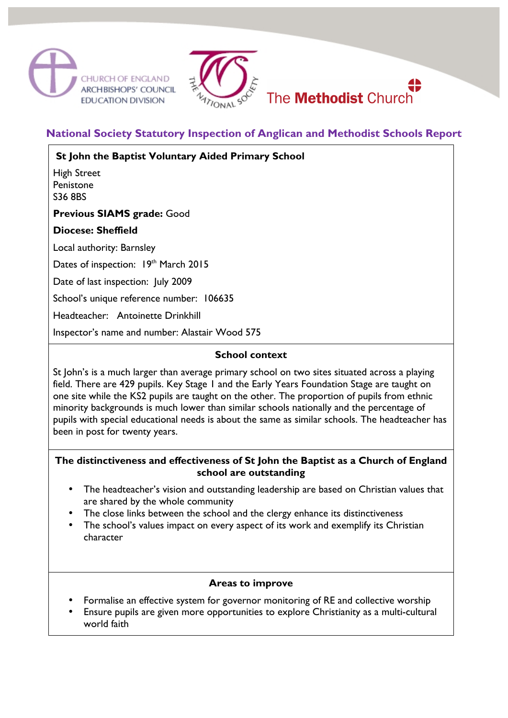



# **National Society Statutory Inspection of Anglican and Methodist Schools Report**

 **St John the Baptist Voluntary Aided Primary School**

High Street Penistone S36 8BS

**Previous SIAMS grade:** Good

#### **Diocese: Sheffield**

Local authority: Barnsley

Dates of inspection: 19th March 2015

Date of last inspection: July 2009

School's unique reference number: 106635

Headteacher: Antoinette Drinkhill

Inspector's name and number: Alastair Wood 575

### **School context**

St John's is a much larger than average primary school on two sites situated across a playing field. There are 429 pupils. Key Stage 1 and the Early Years Foundation Stage are taught on one site while the KS2 pupils are taught on the other. The proportion of pupils from ethnic minority backgrounds is much lower than similar schools nationally and the percentage of pupils with special educational needs is about the same as similar schools. The headteacher has been in post for twenty years.

#### **The distinctiveness and effectiveness of St John the Baptist as a Church of England school are outstanding**

- The headteacher's vision and outstanding leadership are based on Christian values that are shared by the whole community
- The close links between the school and the clergy enhance its distinctiveness
- The school's values impact on every aspect of its work and exemplify its Christian character

#### **Areas to improve**

- Formalise an effective system for governor monitoring of RE and collective worship
- Ensure pupils are given more opportunities to explore Christianity as a multi-cultural world faith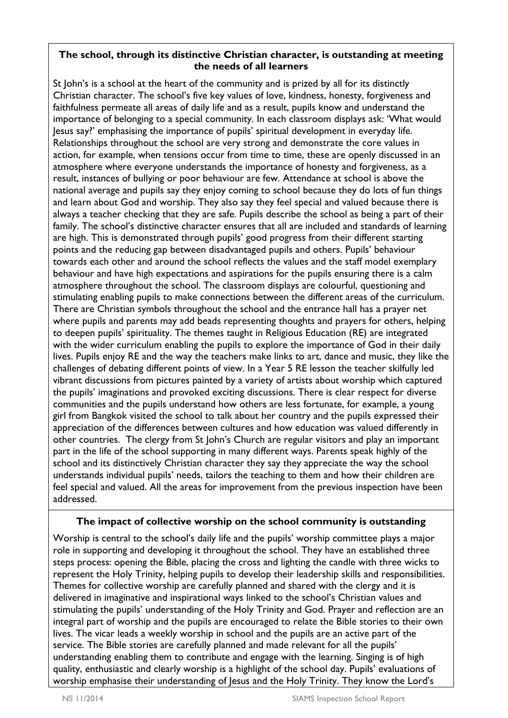#### **The school, through its distinctive Christian character, is outstanding at meeting the needs of all learners**

St John's is a school at the heart of the community and is prized by all for its distinctly Christian character. The school's five key values of love, kindness, honesty, forgiveness and faithfulness permeate all areas of daily life and as a result, pupils know and understand the importance of belonging to a special community. In each classroom displays ask: 'What would Jesus say?' emphasising the importance of pupils' spiritual development in everyday life. Relationships throughout the school are very strong and demonstrate the core values in action, for example, when tensions occur from time to time, these are openly discussed in an atmosphere where everyone understands the importance of honesty and forgiveness, as a result, instances of bullying or poor behaviour are few. Attendance at school is above the national average and pupils say they enjoy coming to school because they do lots of fun things and learn about God and worship. They also say they feel special and valued because there is always a teacher checking that they are safe. Pupils describe the school as being a part of their family. The school's distinctive character ensures that all are included and standards of learning are high. This is demonstrated through pupils' good progress from their different starting points and the reducing gap between disadvantaged pupils and others. Pupils' behaviour towards each other and around the school reflects the values and the staff model exemplary behaviour and have high expectations and aspirations for the pupils ensuring there is a calm atmosphere throughout the school. The classroom displays are colourful, questioning and stimulating enabling pupils to make connections between the different areas of the curriculum. There are Christian symbols throughout the school and the entrance hall has a prayer net where pupils and parents may add beads representing thoughts and prayers for others, helping to deepen pupils' spirituality. The themes taught in Religious Education (RE) are integrated with the wider curriculum enabling the pupils to explore the importance of God in their daily lives. Pupils enjoy RE and the way the teachers make links to art, dance and music, they like the challenges of debating different points of view. In a Year 5 RE lesson the teacher skilfully led vibrant discussions from pictures painted by a variety of artists about worship which captured the pupils' imaginations and provoked exciting discussions. There is clear respect for diverse communities and the pupils understand how others are less fortunate, for example, a young girl from Bangkok visited the school to talk about her country and the pupils expressed their appreciation of the differences between cultures and how education was valued differently in other countries. The clergy from St John's Church are regular visitors and play an important part in the life of the school supporting in many different ways. Parents speak highly of the school and its distinctively Christian character they say they appreciate the way the school understands individual pupils' needs, tailors the teaching to them and how their children are feel special and valued. All the areas for improvement from the previous inspection have been addressed.

# **The impact of collective worship on the school community is outstanding**

Worship is central to the school's daily life and the pupils' worship committee plays a major role in supporting and developing it throughout the school. They have an established three steps process: opening the Bible, placing the cross and lighting the candle with three wicks to represent the Holy Trinity, helping pupils to develop their leadership skills and responsibilities. Themes for collective worship are carefully planned and shared with the clergy and it is delivered in imaginative and inspirational ways linked to the school's Christian values and stimulating the pupils' understanding of the Holy Trinity and God. Prayer and reflection are an integral part of worship and the pupils are encouraged to relate the Bible stories to their own lives. The vicar leads a weekly worship in school and the pupils are an active part of the service. The Bible stories are carefully planned and made relevant for all the pupils' understanding enabling them to contribute and engage with the learning. Singing is of high quality, enthusiastic and clearly worship is a highlight of the school day. Pupils' evaluations of worship emphasise their understanding of Jesus and the Holy Trinity. They know the Lord's